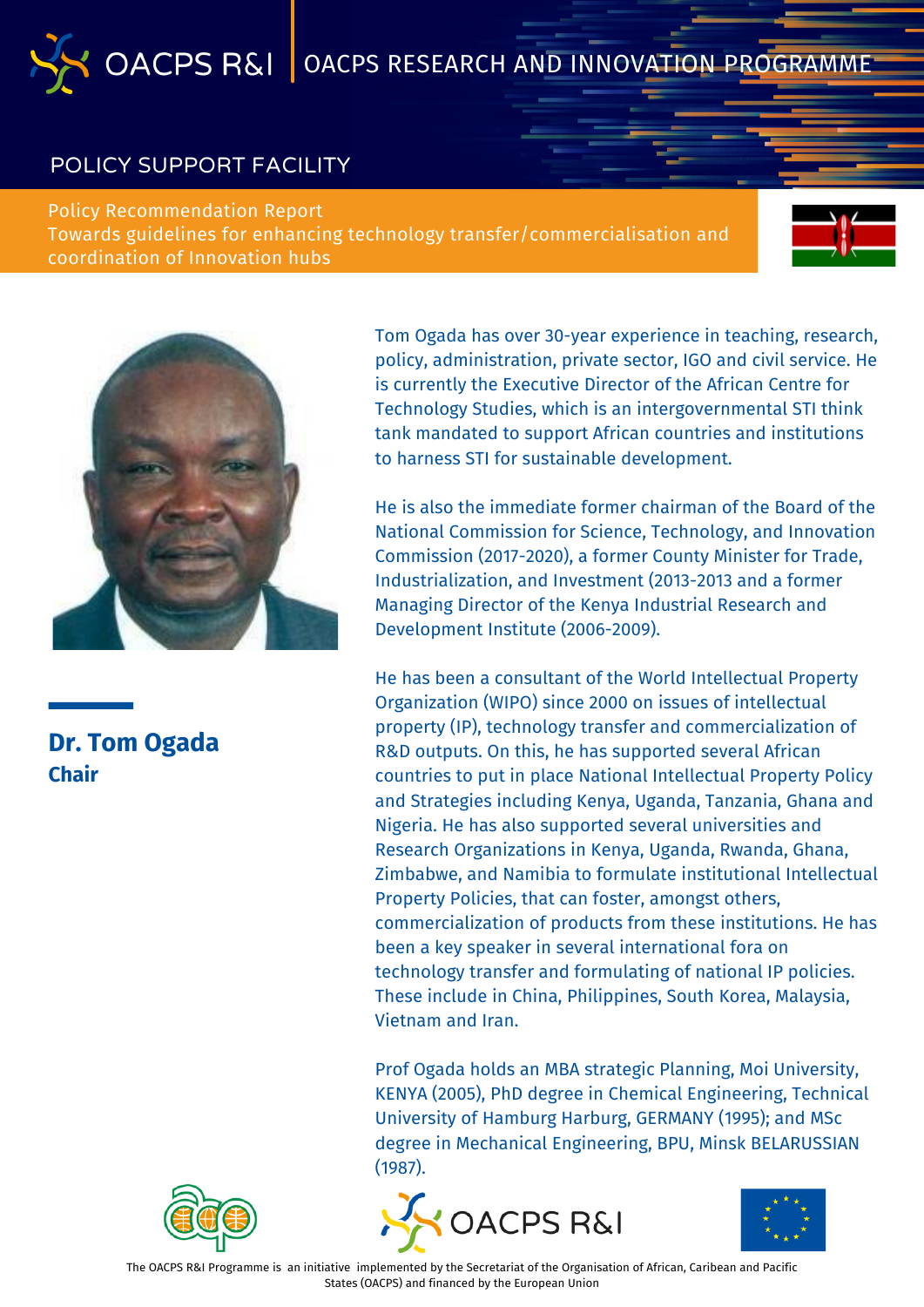#### POLICY SUPPORT FACILITY

Policy Recommendation Report Towards guidelines for enhancing technology transfer/commercialisation and coordination of Innovation hubs





### **Dr. Tom Ogada Chair**

Tom Ogada has over 30-year experience in teaching, research, policy, administration, private sector, IGO and civil service. He is currently the Executive Director of the African Centre for Technology Studies, which is an intergovernmental STI think tank mandated to support African countries and institutions to harness STI for sustainable development.

He is also the immediate former chairman of the Board of the National Commission for Science, Technology, and Innovation Commission (2017-2020), a former County Minister for Trade, Industrialization, and Investment (2013-2013 and a former Managing Director of the Kenya Industrial Research and Development Institute (2006-2009).

He has been a consultant of the World Intellectual Property Organization (WIPO) since 2000 on issues of intellectual property (IP), technology transfer and commercialization of R&D outputs. On this, he has supported several African countries to put in place National Intellectual Property Policy and Strategies including Kenya, Uganda, Tanzania, Ghana and Nigeria. He has also supported several universities and Research Organizations in Kenya, Uganda, Rwanda, Ghana, Zimbabwe, and Namibia to formulate institutional Intellectual Property Policies, that can foster, amongst others, commercialization of products from these institutions. He has been a key speaker in several international fora on technology transfer and formulating of national IP policies. These include in China, Philippines, South Korea, Malaysia, Vietnam and Iran.

Prof Ogada holds an MBA strategic Planning, Moi University, KENYA (2005), PhD degree in Chemical Engineering, Technical University of Hamburg Harburg, GERMANY (1995); and MSc degree in Mechanical Engineering, BPU, Minsk BELARUSSIAN (1987).







The OACPS R&I Programme is an initiative implemented by the Secretariat of the Organisation of African, Caribean and Pacific States (OACPS) and financed by the European Union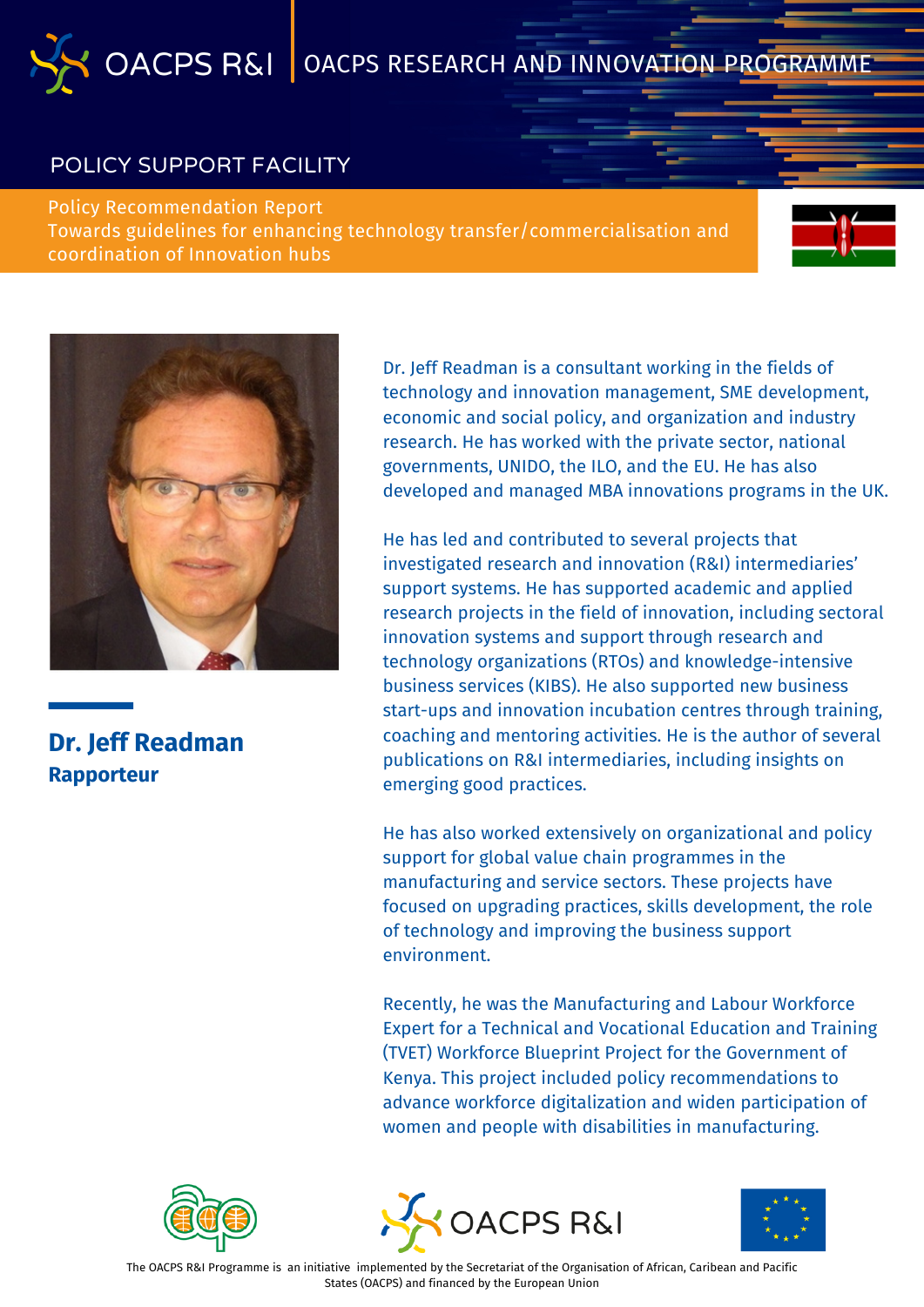#### POLICY SUPPORT FACILITY

Policy Recommendation Report Towards guidelines for enhancing technology transfer/commercialisation and coordination of Innovation hubs





**Dr. Jeff Readman Rapporteur**

Dr. Jeff Readman is a consultant working in the fields of technology and innovation management, SME development, economic and social policy, and organization and industry research. He has worked with the private sector, national governments, UNIDO, the ILO, and the EU. He has also developed and managed MBA innovations programs in the UK.

He has led and contributed to several projects that investigated research and innovation (R&I) intermediaries' support systems. He has supported academic and applied research projects in the field of innovation, including sectoral innovation systems and support through research and technology organizations (RTOs) and knowledge-intensive business services (KIBS). He also supported new business start-ups and innovation incubation centres through training, coaching and mentoring activities. He is the author of several publications on R&I intermediaries, including insights on emerging good practices.

He has also worked extensively on organizational and policy support for global value chain programmes in the manufacturing and service sectors. These projects have focused on upgrading practices, skills development, the role of technology and improving the business support environment.

Recently, he was the Manufacturing and Labour Workforce Expert for a Technical and Vocational Education and Training (TVET) Workforce Blueprint Project for the Government of Kenya. This project included policy recommendations to advance workforce digitalization and widen participation of women and people with disabilities in manufacturing.





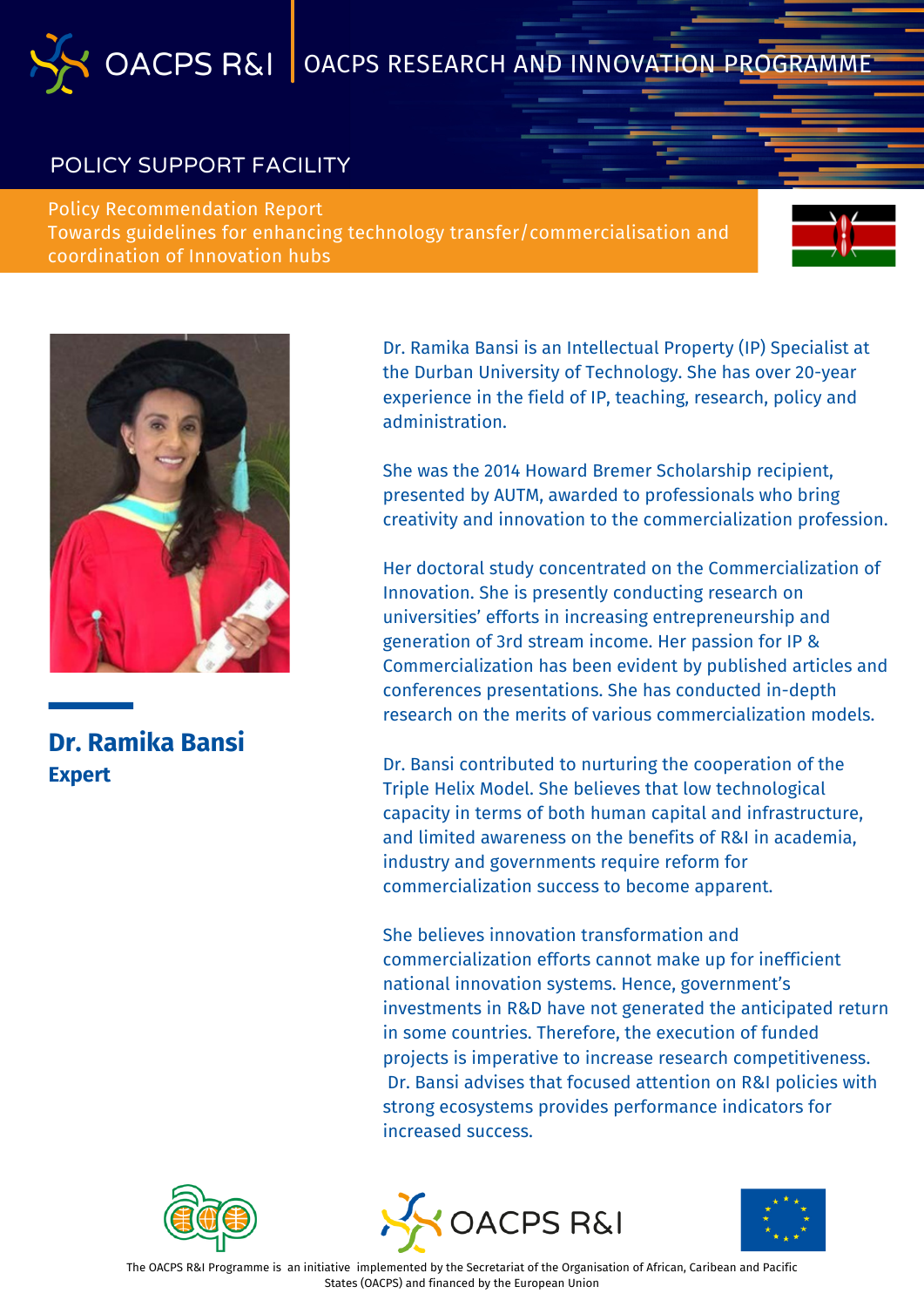#### POLICY SUPPORT FACILITY

Policy Recommendation Report Towards guidelines for enhancing technology transfer/commercialisation and coordination of Innovation hubs





**Dr. Ramika Bansi Expert**

Dr. Ramika Bansi is an Intellectual Property (IP) Specialist at the Durban University of Technology. She has over 20-year experience in the field of IP, teaching, research, policy and administration.

She was the 2014 Howard Bremer Scholarship recipient, presented by AUTM, awarded to professionals who bring creativity and innovation to the commercialization profession.

Her doctoral study concentrated on the Commercialization of Innovation. She is presently conducting research on universities' efforts in increasing entrepreneurship and generation of 3rd stream income. Her passion for IP & Commercialization has been evident by published articles and conferences presentations. She has conducted in-depth research on the merits of various commercialization models.

Dr. Bansi contributed to nurturing the cooperation of the Triple Helix Model. She believes that low technological capacity in terms of both human capital and infrastructure, and limited awareness on the benefits of R&I in academia, industry and governments require reform for commercialization success to become apparent.

She believes innovation transformation and commercialization efforts cannot make up for inefficient national innovation systems. Hence, government's investments in R&D have not generated the anticipated return in some countries. Therefore, the execution of funded projects is imperative to increase research competitiveness. Dr. Bansi advises that focused attention on R&I policies with strong ecosystems provides performance indicators for increased success.







The OACPS R&I Programme is an initiative implemented by the Secretariat of the Organisation of African, Caribean and Pacific States (OACPS) and financed by the European Union